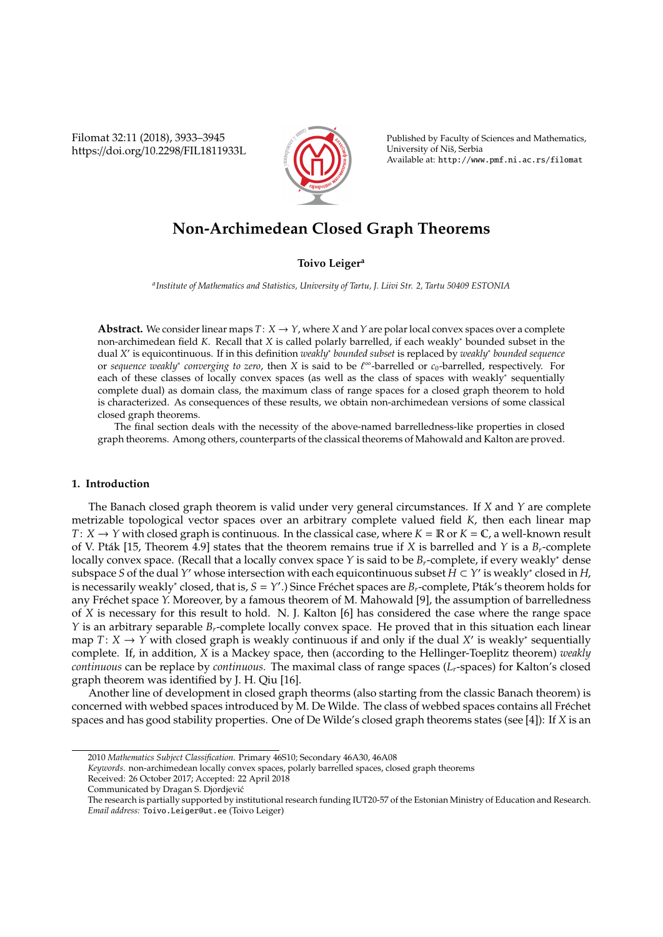Filomat 32:11 (2018), 3933–3945 https://doi.org/10.2298/FIL1811933L



Published by Faculty of Sciences and Mathematics, University of Niš, Serbia Available at: http://www.pmf.ni.ac.rs/filomat

# **Non-Archimedean Closed Graph Theorems**

### **Toivo Leiger<sup>a</sup>**

*a Institute of Mathematics and Statistics, University of Tartu, J. Liivi Str. 2, Tartu 50409 ESTONIA*

**Abstract.** We consider linear maps  $T: X \to Y$ , where *X* and *Y* are polar local convex spaces over a complete non-archimedean field *K*. Recall that *X* is called polarly barrelled, if each weakly<sup>∗</sup> bounded subset in the dual *X'* is equicontinuous. If in this definition *weakly<sup>∗</sup> bounded subset* is replaced by *weakly<sup>∗</sup> bounded sequence* or *sequence weakly*<sup>∗</sup> *converging to zero*, then *X* is said to be ` <sup>∞</sup>-barrelled or *c*0-barrelled, respectively. For each of these classes of locally convex spaces (as well as the class of spaces with weakly<sup>∗</sup> sequentially complete dual) as domain class, the maximum class of range spaces for a closed graph theorem to hold is characterized. As consequences of these results, we obtain non-archimedean versions of some classical closed graph theorems.

The final section deals with the necessity of the above-named barrelledness-like properties in closed graph theorems. Among others, counterparts of the classical theorems of Mahowald and Kalton are proved.

#### **1. Introduction**

The Banach closed graph theorem is valid under very general circumstances. If *X* and *Y* are complete metrizable topological vector spaces over an arbitrary complete valued field *K*, then each linear map *T*:  $X \rightarrow Y$  with closed graph is continuous. In the classical case, where  $K = \mathbb{R}$  or  $K = \mathbb{C}$ , a well-known result of V. Pták [15, Theorem 4.9] states that the theorem remains true if X is barrelled and *Y* is a  $B_r$ -complete locally convex space. (Recall that a locally convex space *Y* is said to be *Br*-complete, if every weakly<sup>∗</sup> dense subspace *S* of the dual Y' whose intersection with each equicontinuous subset  $\hat{H} \subset Y'$  is weakly\* closed in H, is necessarily weakly<sup>\*</sup> closed, that is,  $S = Y'$ .) Since Fréchet spaces are  $B_r$ -complete, Pták's theorem holds for any Fréchet space Y. Moreover, by a famous theorem of M. Mahowald [9], the assumption of barrelledness of *X* is necessary for this result to hold. N. J. Kalton [6] has considered the case where the range space *Y* is an arbitrary separable *Br*-complete locally convex space. He proved that in this situation each linear map *T*: *X* → *Y* with closed graph is weakly continuous if and only if the dual *X'* is weakly<sup>\*</sup> sequentially complete. If, in addition, *X* is a Mackey space, then (according to the Hellinger-Toeplitz theorem) *weakly continuous* can be replace by *continuous.* The maximal class of range spaces (*Lr*-spaces) for Kalton's closed graph theorem was identified by J. H. Qiu [16].

Another line of development in closed graph theorms (also starting from the classic Banach theorem) is concerned with webbed spaces introduced by M. De Wilde. The class of webbed spaces contains all Fréchet spaces and has good stability properties. One of De Wilde's closed graph theorems states (see [4]): If *X* is an

*Keywords*. non-archimedean locally convex spaces, polarly barrelled spaces, closed graph theorems

Received: 26 October 2017; Accepted: 22 April 2018

<sup>2010</sup> *Mathematics Subject Classification*. Primary 46S10; Secondary 46A30, 46A08

Communicated by Dragan S. Djordjevic´

The research is partially supported by institutional research funding IUT20-57 of the Estonian Ministry of Education and Research. *Email address:* Toivo.Leiger@ut.ee (Toivo Leiger)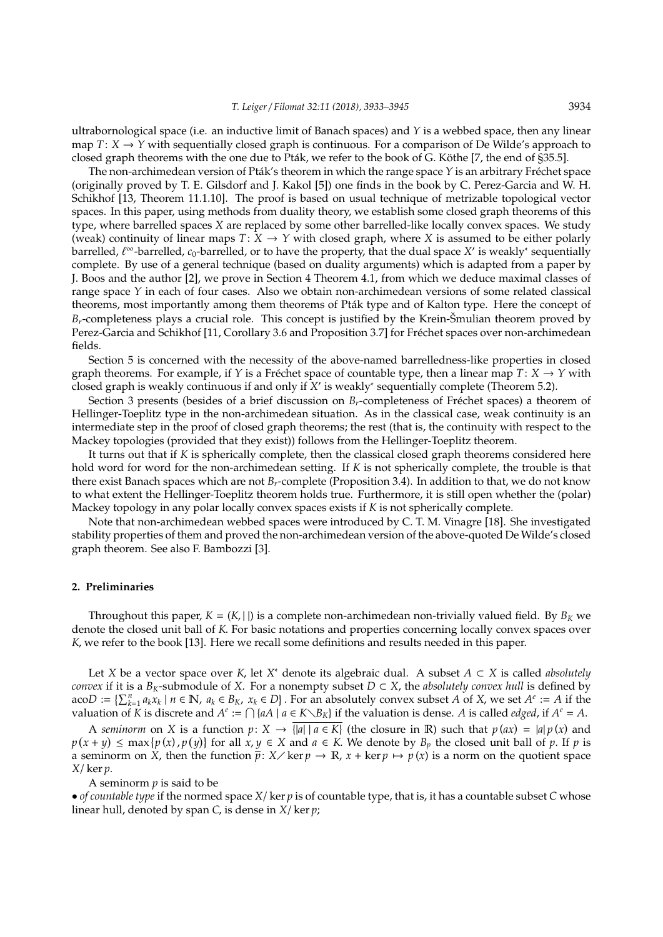ultrabornological space (i.e. an inductive limit of Banach spaces) and *Y* is a webbed space, then any linear map  $T: X \to Y$  with sequentially closed graph is continuous. For a comparison of De Wilde's approach to closed graph theorems with the one due to Pták, we refer to the book of G. Köthe [7, the end of §35.5].

The non-archimedean version of Pták's theorem in which the range space Y is an arbitrary Fréchet space (originally proved by T. E. Gilsdorf and J. Kakol [5]) one finds in the book by C. Perez-Garcia and W. H. Schikhof [13, Theorem 11.1.10]. The proof is based on usual technique of metrizable topological vector spaces. In this paper, using methods from duality theory, we establish some closed graph theorems of this type, where barrelled spaces *X* are replaced by some other barrelled-like locally convex spaces. We study (weak) continuity of linear maps  $T: X \rightarrow Y$  with closed graph, where X is assumed to be either polarly barrelled, *t*<sup>∞</sup>-barrelled, c<sub>0</sub>-barrelled, or to have the property, that the dual space *X'* is weakly\* sequentially complete. By use of a general technique (based on duality arguments) which is adapted from a paper by J. Boos and the author [2], we prove in Section 4 Theorem 4.1, from which we deduce maximal classes of range space *Y* in each of four cases. Also we obtain non-archimedean versions of some related classical theorems, most importantly among them theorems of Ptak type and of Kalton type. Here the concept of ´  $B_r$ -completeness plays a crucial role. This concept is justified by the Krein-Šmulian theorem proved by Perez-Garcia and Schikhof [11, Corollary 3.6 and Proposition 3.7] for Frechet spaces over non-archimedean ´ fields.

Section 5 is concerned with the necessity of the above-named barrelledness-like properties in closed graph theorems. For example, if *Y* is a Fréchet space of countable type, then a linear map  $T: X \to Y$  with closed graph is weakly continuous if and only if *X* 0 is weakly<sup>∗</sup> sequentially complete (Theorem 5.2).

Section 3 presents (besides of a brief discussion on  $B_r$ -completeness of Fréchet spaces) a theorem of Hellinger-Toeplitz type in the non-archimedean situation. As in the classical case, weak continuity is an intermediate step in the proof of closed graph theorems; the rest (that is, the continuity with respect to the Mackey topologies (provided that they exist)) follows from the Hellinger-Toeplitz theorem.

It turns out that if *K* is spherically complete, then the classical closed graph theorems considered here hold word for word for the non-archimedean setting. If *K* is not spherically complete, the trouble is that there exist Banach spaces which are not *Br*-complete (Proposition 3.4). In addition to that, we do not know to what extent the Hellinger-Toeplitz theorem holds true. Furthermore, it is still open whether the (polar) Mackey topology in any polar locally convex spaces exists if *K* is not spherically complete.

Note that non-archimedean webbed spaces were introduced by C. T. M. Vinagre [18]. She investigated stability properties of them and proved the non-archimedean version of the above-quoted De Wilde's closed graph theorem. See also F. Bambozzi [3].

#### **2. Preliminaries**

Throughout this paper,  $K = (K, | \cdot |)$  is a complete non-archimedean non-trivially valued field. By  $B_K$  we denote the closed unit ball of *K*. For basic notations and properties concerning locally convex spaces over *K*, we refer to the book [13]. Here we recall some definitions and results needed in this paper.

Let *X* be a vector space over *K*, let *X* <sup>∗</sup> denote its algebraic dual. A subset *A* ⊂ *X* is called *absolutely convex* if it is a  $B_K$ -submodule of *X*. For a nonempty subset  $D \subset X$ , the *absolutely convex hull* is defined by  $a\text{co}D := \{\sum_{k=1}^{n} a_k x_k \mid n \in \mathbb{N}, a_k \in B_K, x_k \in D\}$ . For an absolutely convex subset A of X, we set  $A^e := A$  if the valuation of  $\tilde{K}$  is discrete and  $A^e := \bigcap \{aA \mid a \in K \setminus B_K\}$  if the valuation is dense. *A* is called *edged*, if  $A^e = A$ .

A *seminorm* on *X* is a function  $p: X \to \overline{|a| | a \in K}$  (the closure in R) such that  $p(ax) = |a| p(x)$  and  $p(x + y) \leq \max\{p(x), p(y)\}$  for all  $x, y \in X$  and  $a \in K$ . We denote by  $B_p$  the closed unit ball of *p*. If *p* is a seminorm on *X*, then the function  $\bar{p}: X \times \ker p \to \mathbb{R}$ ,  $x + \ker p \mapsto p(x)$  is a norm on the quotient space *X*/ ker *p*.

A seminorm *p* is said to be

• *of countable type* if the normed space *X*/ ker *p* is of countable type, that is, it has a countable subset *C* whose linear hull, denoted by span *C*, is dense in *X*/ ker *p*;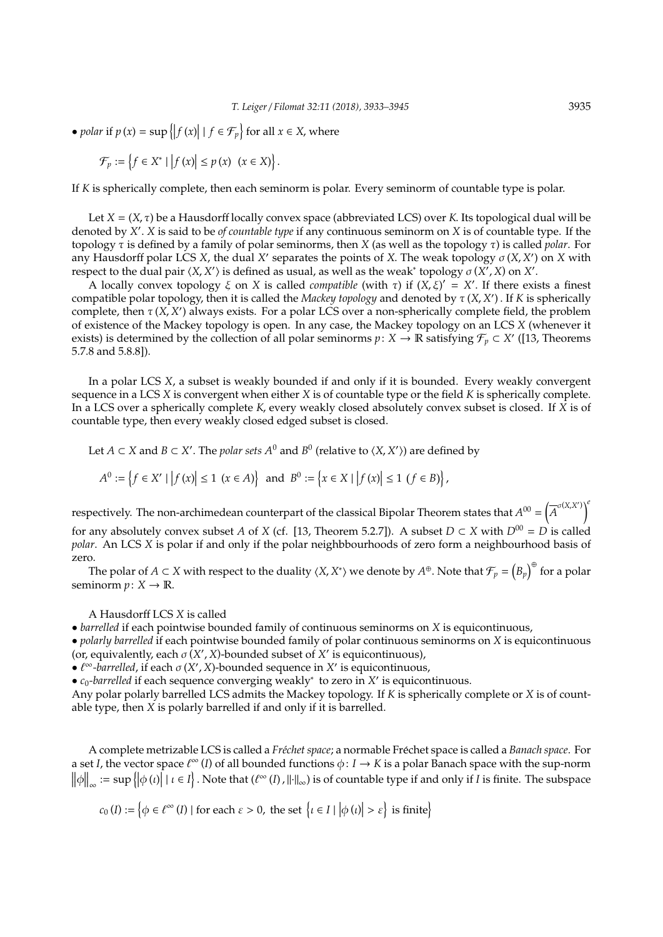• *polar* if  $p(x) = \sup \{|f(x)| | f \in \mathcal{F}_p\}$  for all  $x \in X$ , where

$$
\mathcal{F}_p := \left\{ f \in X^* \mid \left| f(x) \right| \le p(x) \ (x \in X) \right\}.
$$

If *K* is spherically complete, then each seminorm is polar. Every seminorm of countable type is polar.

Let  $X = (X, \tau)$  be a Hausdorff locally convex space (abbreviated LCS) over *K*. Its topological dual will be denoted by *X* 0 . *X* is said to be *of countable type* if any continuous seminorm on *X* is of countable type. If the topology τ is defined by a family of polar seminorms, then *X* (as well as the topology τ) is called *polar*. For any Hausdorff polar LCS *X*, the dual *X'* separates the points of *X*. The weak topology  $\sigma$  (*X*, *X'*) on *X* with respect to the dual pair  $\langle X, X' \rangle$  is defined as usual, as well as the weak<sup>\*</sup> topology  $\sigma(X', X)$  on  $X'$ .

A locally convex topology  $\xi$  on *X* is called *compatible* (with  $\tau$ ) if  $(X, \xi)' = X'$ . If there exists a finest compatible polar topology, then it is called the *Mackey topology* and denoted by τ (*X*, *X* 0 ) . If *K* is spherically complete, then  $\tau$  (*X*, *X'*) always exists. For a polar LCS over a non-spherically complete field, the problem of existence of the Mackey topology is open. In any case, the Mackey topology on an LCS *X* (whenever it exists) is determined by the collection of all polar seminorms  $p: X \to \mathbb{R}$  satisfying  $\mathcal{F}_p \subset X'$  ([13, Theorems 5.7.8 and 5.8.8]).

In a polar LCS *X*, a subset is weakly bounded if and only if it is bounded. Every weakly convergent sequence in a LCS *X* is convergent when either *X* is of countable type or the field *K* is spherically complete. In a LCS over a spherically complete *K*, every weakly closed absolutely convex subset is closed. If *X* is of countable type, then every weakly closed edged subset is closed.

Let *A*  $\subset$  *X* and *B*  $\subset$  *X'*. The *polar sets A*<sup>0</sup> and *B*<sup>0</sup> (relative to  $\langle X, X' \rangle$ ) are defined by

$$
A^{0} := \left\{ f \in X' \mid \left| f(x) \right| \leq 1 \ (x \in A) \right\} \text{ and } B^{0} := \left\{ x \in X \mid \left| f(x) \right| \leq 1 \ (f \in B) \right\},
$$

respectively. The non-archimedean counterpart of the classical Bipolar Theorem states that  $A^{00} = (\overline{A}^{\sigma(X,X')} )^4$ for any absolutely convex subset *A* of *X* (cf. [13, Theorem 5.2.7]). A subset  $D \subset X$  with  $D^{00} = D$  is called *polar*. An LCS *X* is polar if and only if the polar neighbbourhoods of zero form a neighbourhood basis of zero.

The polar of  $A \subset X$  with respect to the duality  $\langle X, X^* \rangle$  we denote by  $A^\oplus$ . Note that  $\mathcal{F}_p = \bigl(B_p\bigl)^{\oplus}$  for a polar seminorm  $p: X \to \mathbb{R}$ .

A Hausdorff LCS *X* is called

• *barrelled* if each pointwise bounded family of continuous seminorms on *X* is equicontinuous,

• *polarly barrelled* if each pointwise bounded family of polar continuous seminorms on *X* is equicontinuous (or, equivalently, each  $\sigma$  (*X'*, *X*)-bounded subset of *X'* is equicontinuous),

 $\bullet$   $\ell^{\infty}$ -barrelled, if each  $\sigma$  (*X'*, *X*)-bounded sequence in *X'* is equicontinuous,

 $\bullet$  *c*<sub>0</sub>-barrelled if each sequence converging weakly<sup>\*</sup> to zero in *X'* is equicontinuous.

Any polar polarly barrelled LCS admits the Mackey topology. If *K* is spherically complete or *X* is of countable type, then *X* is polarly barrelled if and only if it is barrelled.

A complete metrizable LCS is called a *Fr´echet space*; a normable Frechet space is called a ´ *Banach space*. For a set *I*, the vector space  $\ell^{\infty}(I)$  of all bounded functions  $\phi: I \to K$  is a polar Banach space with the sup-norm  $\|\phi\|_{\infty} := \sup \{\phi(u) | u \in I\}$ . Note that  $(\ell^{\infty}(I), \| \cdot \|_{\infty})$  is of countable type if and only if *I* is finite. The subspace

 $c_0(I) := \left\{ \phi \in \ell^{\infty}(I) \mid \text{for each } \varepsilon > 0, \text{ the set } \left\{ \iota \in I \mid \left| \phi\left(\iota\right) \right| > \varepsilon \right\} \text{ is finite} \right\}$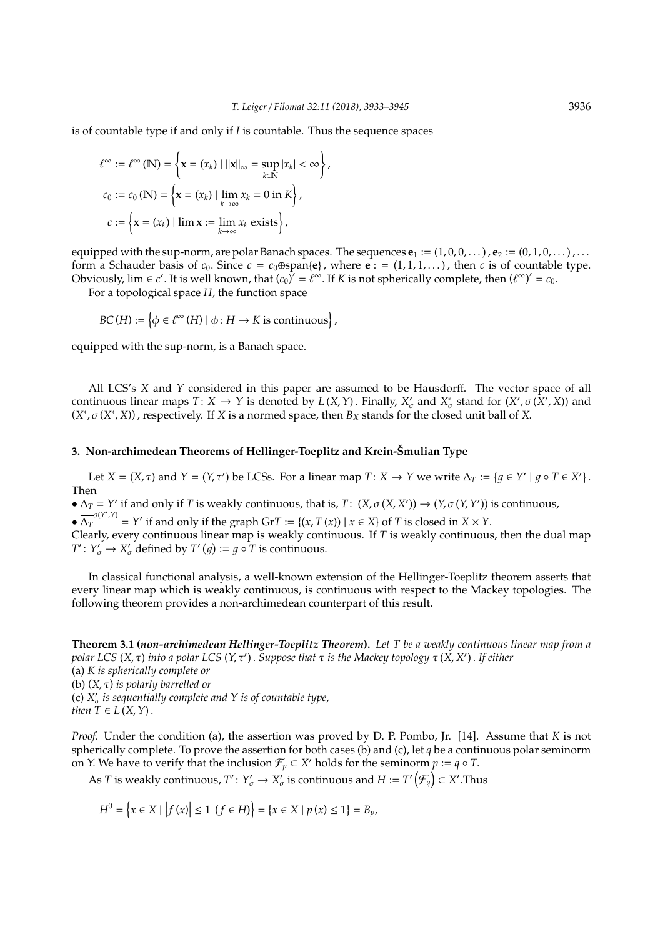is of countable type if and only if *I* is countable. Thus the sequence spaces

$$
\ell^{\infty} := \ell^{\infty} (\mathbb{N}) = \left\{ \mathbf{x} = (x_k) \mid ||\mathbf{x}||_{\infty} = \sup_{k \in \mathbb{N}} |x_k| < \infty \right\},
$$
\n
$$
c_0 := c_0 (\mathbb{N}) = \left\{ \mathbf{x} = (x_k) \mid \lim_{k \to \infty} x_k = 0 \text{ in } K \right\},
$$
\n
$$
c := \left\{ \mathbf{x} = (x_k) \mid \lim \mathbf{x} := \lim_{k \to \infty} x_k \text{ exists} \right\},
$$

equipped with the sup-norm, are polar Banach spaces. The sequences  $e_1 := (1, 0, 0, \dots)$ ,  $e_2 := (0, 1, 0, \dots)$ ,... form a Schauder basis of  $c_0$ . Since  $c = c_0 \oplus \text{span}\{e\}$ , where  $e := (1, 1, 1, ...)$ , then  $c$  is of countable type. Obviously,  $\lim \epsilon c'$ . It is well known, that  $(c_0)' = \ell^{\infty}$ . If *K* is not spherically complete, then  $(\ell^{\infty})' = c_0$ .

For a topological space *H*, the function space

 $BC(H) := \{ \phi \in \ell^{\infty}(H) \mid \phi \colon H \to K \text{ is continuous} \},$ 

equipped with the sup-norm, is a Banach space.

All LCS's *X* and *Y* considered in this paper are assumed to be Hausdorff. The vector space of all continuous linear maps  $T: X \to Y$  is denoted by  $L(X, Y)$ . Finally,  $X'_{\sigma}$  and  $X^*_{\sigma}$  stand for  $(X', \sigma(X', X))$  and  $(X^*, \sigma(X^*, X))$ , respectively. If *X* is a normed space, then  $B_X$  stands for the closed unit ball of *X*.

#### **3. Non-archimedean Theorems of Hellinger-Toeplitz and Krein-Smulian Type ˇ**

Let  $X = (X, \tau)$  and  $Y = (Y, \tau')$  be LCSs. For a linear map  $T: X \to Y$  we write  $\Delta_T := \{ g \in Y' \mid g \circ T \in X' \}.$ Then

 $\Delta_T = Y'$  if and only if *T* is weakly continuous, that is, *T*:  $(X, \sigma(X, X')) \to (Y, \sigma(Y, Y'))$  is continuous,

 $\overline{\Delta}_T^{\sigma(Y',Y)} = Y'$  if and only if the graph Gr*T* := {(*x*, *T*(*x*)) | *x* ∈ *X*} of *T* is closed in *X* × *Y*.

Clearly, every continuous linear map is weakly continuous. If *T* is weakly continuous, then the dual map *T*<sup> $\prime$ </sup>:  $Y'_{\sigma} \rightarrow X'_{\sigma}$  defined by *T*<sup> $\prime$ </sup> (*g*) := *g*  $\circ$  *T* is continuous.

In classical functional analysis, a well-known extension of the Hellinger-Toeplitz theorem asserts that every linear map which is weakly continuous, is continuous with respect to the Mackey topologies. The following theorem provides a non-archimedean counterpart of this result.

**Theorem 3.1 (***non-archimedean Hellinger-Toeplitz Theorem***).** *Let T be a weakly continuous linear map from a polar LCS* (*X*, τ) *into a polar LCS* (*Y*, τ<sup>0</sup> ) . *Suppose that* τ *is the Mackey topology* τ (*X*, *X* 0 ) . *If either* (a) *K is spherically complete or* (b) (*X*, τ) *is polarly barrelled or* (c)  $X'_{\sigma}$  is sequentially complete and Y is of countable type, *then*  $T \in L(X, Y)$ .

*Proof.* Under the condition (a), the assertion was proved by D. P. Pombo, Jr. [14]. Assume that *K* is not spherically complete. To prove the assertion for both cases (b) and (c), let *q* be a continuous polar seminorm on *Y*. We have to verify that the inclusion  $\mathcal{F}_p \subset X'$  holds for the seminorm  $p := q \circ T$ .

As  $T$  is weakly continuous,  $T'\colon Y'_{\sigma}\to X'_{\sigma}$  is continuous and  $H:=T'\left(\mathcal{F}_{q}\right)\subset X'.$  Thus

$$
H^{0} = \{x \in X \mid |f(x)| \le 1 \ (f \in H)\} = \{x \in X \mid p(x) \le 1\} = B_{p},
$$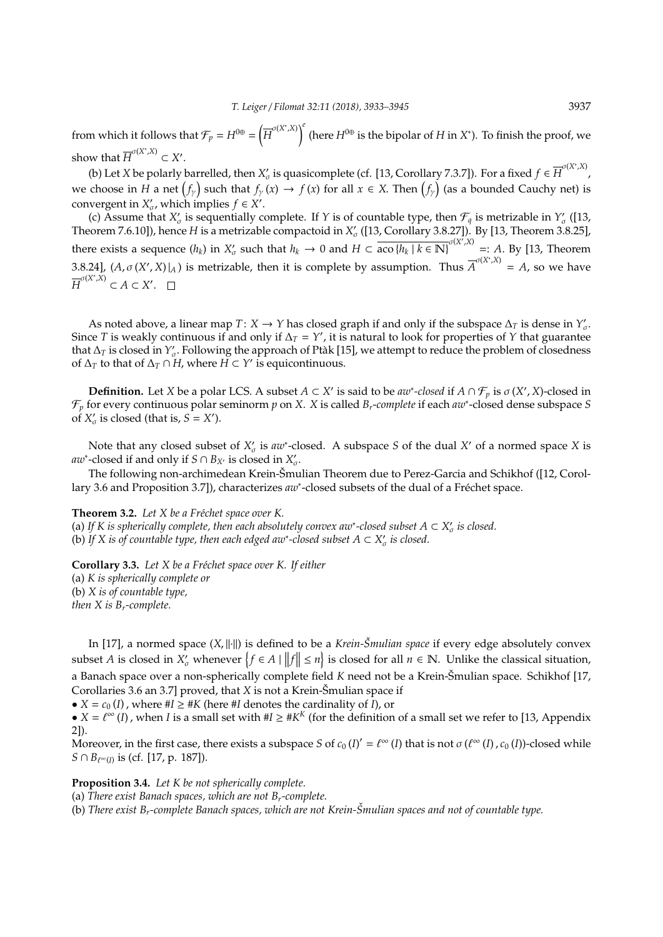from which it follows that  $\mathcal{F}_p = H^{0\oplus} = \left(\overline{H}^{\sigma(X^*,X)}\right)^e$  (here  $H^{0\oplus}$  is the bipolar of *H* in *X*<sup>\*</sup>). To finish the proof, we show that  $\overline{H}^{\sigma(X^*,X)} \subset X'$ .

(b) Let *X* be polarly barrelled, then  $X'_\sigma$  is quasicomplete (cf. [13, Corollary 7.3.7]). For a fixed  $f \in \overline{H}^{\sigma(X^*,X)}$ , we choose in *H* a net  $(f_\gamma)$  such that  $f_\gamma(x) \to f(x)$  for all  $x \in X$ . Then  $\big(f_\gamma\big)$  (as a bounded Cauchy net) is convergent in  $X'_{\sigma}$ , which implies  $f \in X'$ .

(c) Assume that  $X'_\sigma$  is sequentially complete. If *Y* is of countable type, then  $\mathcal{F}_q$  is metrizable in  $Y'_\sigma$  ([13, Theorem 7.6.10]), hence *H* is a metrizable compactoid in  $X'_{\sigma}$  ([13, Corollary 3.8.27]). By [13, Theorem 3.8.25], there exists a sequence  $(h_k)$  in  $X'_\sigma$  such that  $h_k \to 0$  and  $H \subset \overline{\text{aco } \{h_k \mid k \in \mathbb{N}\}}^{\sigma(X',X)} =: A$ . By [13, Theorem 3.8.24],  $(A, \sigma(X', X)|_A)$  is metrizable, then it is complete by assumption. Thus  $\overline{A}^{\sigma(X^*, X)} = A$ , so we have  $\overline{H}^{\sigma(X^*,X)} \subset A \subset X'.$ 

As noted above, a linear map  $T: X \to Y$  has closed graph if and only if the subspace  $\Delta_T$  is dense in  $Y'_\sigma$ . Since *T* is weakly continuous if and only if  $\Delta_T = Y'$ , it is natural to look for properties of *Y* that guarantee that  $\Delta_T$  is closed in  $Y'_{\sigma}$ . Following the approach of Ptak [15], we attempt to reduce the problem of closedness of  $\Delta_T$  to that of  $\Delta_T \cap H$ , where  $H \subset Y'$  is equicontinuous.

**Definition.** Let *X* be a polar LCS. A subset  $A \subset X'$  is said to be  $aw^*$ -closed if  $A \cap \mathcal{F}_p$  is  $\sigma(X', X)$ -closed in F*<sup>p</sup>* for every continuous polar seminorm *p* on *X*. *X* is called *Br*-*complete* if each *aw*<sup>∗</sup> -closed dense subspace *S* of  $X'_{\sigma}$  is closed (that is,  $S = X'$ ).

Note that any closed subset of  $X'_{\sigma}$  is  $aw^*$ -closed. A subspace *S* of the dual *X'* of a normed space *X* is *aw*<sup>\*</sup>-closed if and only if *S* ∩ *B*<sub>*X*</sub></sub> is closed in  $X'_{\sigma}$ .

The following non-archimedean Krein-Smulian Theorem due to Perez-Garcia and Schikhof ([12, Corol- ˇ lary 3.6 and Proposition 3.7]), characterizes *aw*\*-closed subsets of the dual of a Fréchet space.

**Theorem 3.2.** Let X be a Fréchet space over K.

(a) If *K* is spherically complete, then each absolutely convex aw<sup>∗</sup>-closed subset  $A ⊂ X'_{\sigma}$  is closed. (b) If *X* is of countable type, then each edged aw\*-closed subset  $A \subset X'_{\sigma}$  is closed.

**Corollary 3.3.** Let X be a Fréchet space over K. If either (a) *K is spherically complete or* (b) *X is of countable type, then X is Br-complete.*

In [17], a normed space (X, ||·||) is defined to be a *Krein-Šmulian space* if every edge absolutely convex subset *A* is closed in  $X'_{\sigma}$  whenever  $\{f \in A \mid ||f|| \leq n\}$  is closed for all  $n \in \mathbb{N}$ . Unlike the classical situation, a Banach space over a non-spherically complete field *K* need not be a Krein-Šmulian space. Schikhof [17, Corollaries 3.6 an 3.7] proved, that *X* is not a Krein-Smulian space if

•  $X = c_0(I)$ , where  $\#I \geq \#K$  (here  $\#I$  denotes the cardinality of  $\bar{I}$ ), or

•  $X = \ell^{\infty}(I)$ , when *I* is a small set with  $\#I \geq \#K^K$  (for the definition of a small set we refer to [13, Appendix 2]).

Moreover, in the first case, there exists a subspace *S* of  $c_0(I)' = \ell^{\infty}(I)$  that is not  $\sigma(\ell^{\infty}(I), c_0(I))$ -closed while *S* ∩ *B*<sub> $\ell^{\infty}(I)$  is (cf. [17, p. 187]).</sub>

**Proposition 3.4.** *Let K be not spherically complete.*

(a) *There exist Banach spaces, which are not Br-complete.*

(b) *There exist Br-complete Banach spaces, which are not Krein-Smulian spaces and not of countable type. ˇ*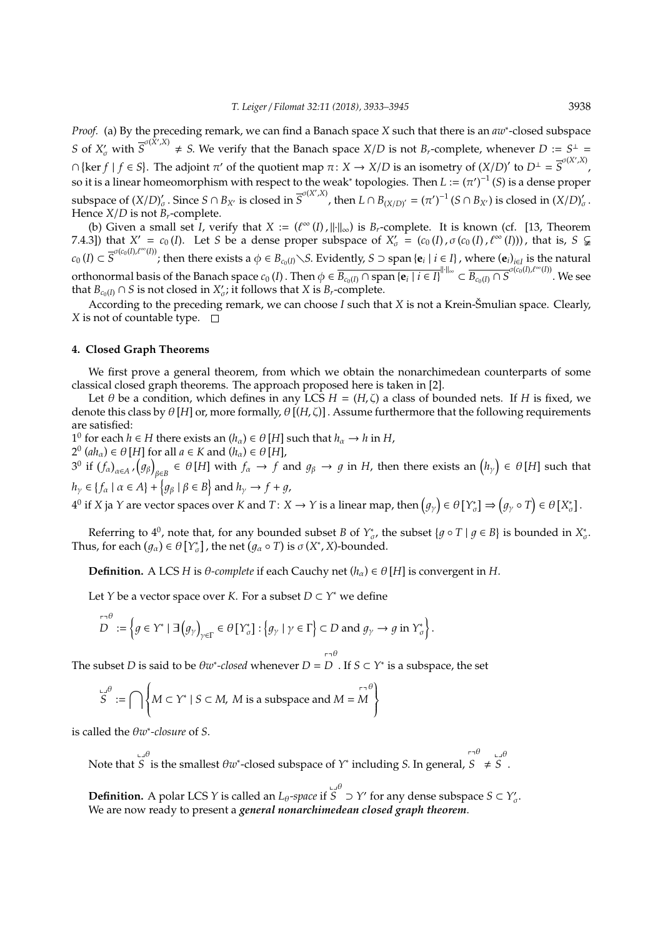*Proof.* (a) By the preceding remark, we can find a Banach space *X* such that there is an *aw*<sup>∗</sup> -closed subspace *S* of  $X'_o$  with  $\overline{S}^{\sigma(\hat{X}',X)} \neq S$ . We verify that the Banach space  $X/D$  is not  $B_r$ -complete, whenever  $D := S^{\perp}$  $\cap$  {ker *f* | *f* ∈ *S*}. The adjoint  $\pi'$  of the quotient map  $\pi: X \to X/D$  is an isometry of  $(X/D)'$  to  $D^{\perp} = \overline{S}^{\sigma(X',X)}$ , so it is a linear homeomorphism with respect to the weak<sup>\*</sup> topologies. Then  $L := (\pi')^{-1}(S)$  is a dense proper subspace of  $(X/D)'_c$  $\int_{\sigma}^{1}$ . Since  $S \cap B_{X'}$  is closed in  $\overline{S}^{\sigma(X',X)}$ , then  $L \cap B_{(X/D)'} = (\pi')^{-1} (S \cap B_{X'})$  is closed in  $(X/D)'$  $\sigma'$ Hence  $X/D$  is not  $B_r$ -complete.

(b) Given a small set *I*, verify that  $X := (\ell^{\infty}(I), ||\cdot||_{\infty})$  is  $B_r$ -complete. It is known (cf. [13, Theorem 7.4.3]) that  $X' = c_0(I)$ . Let *S* be a dense proper subspace of  $X'_\sigma = (c_0(I), \sigma(c_0(I), \ell^\infty(I)))$ , that is,  $S \subsetneq$  $c_0(I) \subset \overline{S}^{\sigma(c_0(I),\ell^{\infty}(I))}$ ; then there exists a  $\phi \in B_{c_0(I)} \setminus S$ . Evidently,  $S \supset \text{span}\{\mathbf{e}_i \mid i \in I\}$ , where  $(\mathbf{e}_i)_{i \in I}$  is the natural orthonormal basis of the Banach space  $c_0(I)$ . Then  $\phi \in \overline{B_{c_0(I)} \cap \text{span}\{e_i \mid i \in I\}}^{d \times 1}$   $\subset \overline{B_{c_0(I)} \cap S}^{\sigma(c_0(I), \ell^{\infty}(I))}$ . We see that  $B_{c_0(I)} \cap S$  is not closed in  $X'_\sigma$ ; it follows that  $X$  is  $B_r$ -complete.

According to the preceding remark, we can choose *I* such that *X* is not a Krein-Šmulian space. Clearly, *X* is not of countable type.  $\Box$ 

#### **4. Closed Graph Theorems**

We first prove a general theorem, from which we obtain the nonarchimedean counterparts of some classical closed graph theorems. The approach proposed here is taken in [2].

Let  $\theta$  be a condition, which defines in any LCS  $H = (H, \zeta)$  a class of bounded nets. If *H* is fixed, we denote this class by  $\theta$  [*H*] or, more formally,  $\theta$  [(*H*,  $\zeta$ )]. Assume furthermore that the following requirements are satisfied:

1 0 for each *h* ∈ *H* there exists an (*h*α) ∈ θ [*H*] such that *h*<sup>α</sup> → *h* in *H*,

 $2^0$  (*ah*<sub>α</sub>)  $\in \theta$  [*H*] for all  $a \in K$  and (*h*<sub>α</sub>)  $\in \theta$  [*H*],

3<sup>0</sup> if  $(f_\alpha)_{\alpha\in A}$  ,  $(g_\beta)$  $\beta_{\beta\in B}\in\theta$  [*H*] with  $f_\alpha\to f$  and  $g_\beta\to g$  in *H*, then there exists an  $\big(h_\gamma\big)\in\theta$  [*H*] such that  $h_{\gamma} \in \{f_{\alpha} \mid \alpha \in A\} + \{g_{\beta} \mid \beta \in B\}$  and  $h_{\gamma} \to f + g$ ,

 $4^0$  if *X* ja *Y* are vector spaces over *K* and *T*: *X* → *Y* is a linear map, then  $\left(g_\gamma\right) \in \theta\left[Y_\sigma^*\right] \Rightarrow \left(g_\gamma \circ T\right) \in \theta\left[X_\sigma^*\right]$ .

Referring to  $4^0$ , note that, for any bounded subset *B* of  $Y^*_{\sigma}$ , the subset  $\{g \circ T \mid g \in B\}$  is bounded in  $X^*_{\sigma}$ . Thus, for each  $(g_{\alpha}) \in \theta[Y_{\sigma}^*]$ , the net  $(g_{\alpha} \circ T)$  is  $\sigma(X^*, X)$ -bounded.

**Definition.** A LCS *H* is  $\theta$ -complete if each Cauchy net  $(h_{\alpha}) \in \theta[H]$  is convergent in *H*.

Let *Y* be a vector space over *K*. For a subset *D* ⊂ *Y* <sup>∗</sup> we define

$$
\overline{D}^{\theta} := \left\{ g \in Y^* \mid \exists \left( g_{\gamma} \right)_{\gamma \in \Gamma} \in \theta \left[ Y_{\sigma}^* \right] : \left\{ g_{\gamma} \mid \gamma \in \Gamma \right\} \subset D \text{ and } g_{\gamma} \to g \text{ in } Y_{\sigma}^* \right\}.
$$

The subset *D* is said to be  $\theta w^*$ -closed whenever *D* = *D* . If *S*  $\subset$  *Y*<sup>\*</sup> is a subspace, the set pq θ

$$
S^{\mathsf{LJ}} := \bigcap \left\{ M \subset Y^* \mid S \subset M, \ M \text{ is a subspace and } M = M \right\}
$$

is called the θ*w* ∗ *-closure* of *S*.

Note that  $\overline{a}$ *S* θ is the smallest θ*w* ∗ -closed subspace of *Y* ∗ including *S*. In general, pq *S*  $\theta$  4  $\overline{S}$  $S^{\theta}$ .

**Definition.** A polar LCS *Y* is called an *L*<sub>θ</sub>-space if  $\mathbf{r}$  $S \supset Y'$  for any dense subspace  $S \subset Y'_{\sigma}$ . We are now ready to present a *general nonarchimedean closed graph theorem*.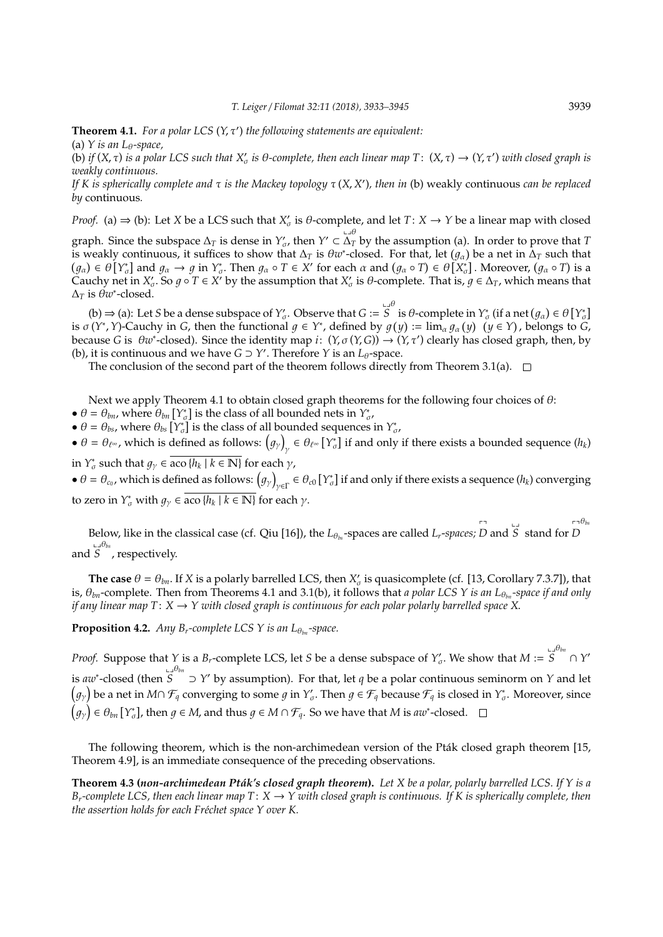**Theorem 4.1.** For a polar LCS  $(Y, \tau')$  the following statements are equivalent: (a) *Y* is an L<sub>θ</sub>-space,

(b) *if*  $(X, \tau)$  *is a polar LCS such that*  $X'_\sigma$  *is*  $\theta$ *-complete, then each linear map*  $T: (X, \tau) \to (Y, \tau')$  *with closed graph is weakly continuous.*

*If K is spherically complete and* τ *is the Mackey topology* τ (*X, X'*), then *in* (b) weakly continuous *can be replaced by* continuous*.*

*Proof.* (a)  $\Rightarrow$  (b): Let *X* be a LCS such that *X*<sup>*t*</sup> is  $\theta$ -complete, and let *T*: *X*  $\rightarrow$  *Y* be a linear map with closed

graph. Since the subspace  $\Delta_T$  is dense in  $Y'_\sigma$ , then  $Y' \subset \Delta_T$ ∆*<sup>T</sup>* by the assumption (a). In order to prove that *T* is weakly continuous, it suffices to show that  $\Delta_T$  is  $\theta w^*$ -closed. For that, let  $(g_\alpha)$  be a net in  $\Delta_T$  such that  $(g_{\alpha}) \in \theta[Y_{\sigma}^{*}]$  and  $g_{\alpha} \to g$  in  $Y_{\sigma}^{*}$ . Then  $g_{\alpha} \circ T \in X'$  for each  $\alpha$  and  $(g_{\alpha} \circ T) \in \theta[X_{\sigma}^{*}]$ . Moreover,  $(g_{\alpha} \circ T)$  is a Cauchy net in  $X'_\sigma$ . So  $g \circ T \in X'$  by the assumption that  $X'_\sigma$  is  $\theta$ -complete. That is,  $g \in \Delta_T$ , which means that  $\Delta_T$  is  $\theta w^*$ -closed.

(b)  $\Rightarrow$  (a): Let *S* be a dense subspace of  $Y'_{\sigma}$ . Observe that *G* :=  $\mathbf{r}$  $S$ <sup>i</sup> is θ-complete in  $Y_{\sigma}^*$  (if a net  $(g_{\alpha}) \in \theta \left[ Y_{\sigma}^* \right]$ is  $\sigma(Y^*, Y)$ -Cauchy in *G*, then the functional  $g \in Y^*$ , defined by  $g(y) := \lim_{\alpha} g_{\alpha}(y)$   $(y \in Y)$ , belongs to *G*, because *G* is  $\theta w^*$ -closed). Since the identity map *i*:  $(Y, \sigma(Y, G)) \to (Y, \tau')$  clearly has closed graph, then, by (b), it is continuous and we have  $G \supset Y'$ . Therefore  $Y$  is an  $L_{\theta}$ -space.

The conclusion of the second part of the theorem follows directly from Theorem 3.1(a).  $\Box$ 

Next we apply Theorem 4.1 to obtain closed graph theorems for the following four choices of  $\theta$ :

- $\theta = \theta_{bn}$ , where  $\theta_{bn}$  [ $Y^*_{\sigma}$ ] is the class of all bounded nets in  $Y^*_{\sigma}$ ,
- $\theta = \theta_{bs}$ , where  $\theta_{bs}$   $[Y^*_{\sigma}]$  is the class of all bounded sequences in  $Y^*_{\sigma}$ ,
- $\theta = \theta_{\ell^{\infty}}$ , which is defined as follows:  $(g_{\gamma})$  $\gamma$   $\in \theta_{\ell^{\infty}}$  [ $Y_{\sigma}^*$ ] if and only if there exists a bounded sequence ( $h_k$ ) in  $Y^*_{\sigma}$  such that  $g_{\gamma} \in \overline{\text{aco } \{h_k \mid k \in \mathbb{N}\}}$  for each  $\gamma$ ,

 $\bullet$   $\theta = \theta_{c_0}$ , which is defined as follows:  $(g_\gamma)$  $\gamma_{\in \Gamma} \in \theta_{c0}$  [ $\gamma_{\sigma}^*$ ] if and only if there exists a sequence ( $h_k$ ) converging to zero in  $Y^*_{\sigma}$  with  $g_{\gamma} \in \overline{\text{aco } \{h_k \mid k \in \mathbb{N}\}}$  for each  $\gamma$ .

Below, like in the classical case (cf. Qiu [16]), the *L*<sup>θ</sup>*bs* -spaces are called *Lr*-*spaces;* pq *D* and  $\overline{a}$ *S* stand for pq *D*  $r - \theta_{bs}$ and  $\mathbf{r}$ *S* θ*bs* , respectively.

**The case**  $\theta = \theta_{bn}$ . If *X* is a polarly barrelled LCS, then  $X'_{\sigma}$  is quasicomplete (cf. [13, Corollary 7.3.7]), that is, θ*bn*-complete. Then from Theorems 4.1 and 3.1(b), it follows that *a polar LCS Y is an L*<sup>θ</sup>*bn -space if and only if any linear map T*:  $X \rightarrow Y$  with closed graph is continuous for each polar polarly barrelled space X.

**Proposition 4.2.** *Any B<sub>r</sub>*-complete LCS Y is an  $L_{\theta_{\text{bw}}}$ -space.

*Proof.* Suppose that *Y* is a *B*<sub>*r*</sub>-complete LCS, let *S* be a dense subspace of  $Y'_\sigma$ . We show that  $M :=$  $\mathbf{r}$ *S* θ*bn* ∩ *Y* 0 is *aw*<sup>∗</sup> -closed (then .<br>Lu *S* θ*bn* ⊃ *Y* <sup>0</sup> by assumption). For that, let *q* be a polar continuous seminorm on *Y* and let  $\big(g_\gamma\big)$  be a net in  $M\cap\mathcal F_q$  converging to some  $g$  in  $Y'_\sigma.$  Then  $g\in\mathcal F_q$  because  $\mathcal F_q$  is closed in  $Y^*_\sigma.$  Moreover, since  $\big(g_\gamma\big)\in \theta_{bn}\,[\,Y^*_\sigma]$ , then  $g\in M$ , and thus  $g\in M\cap \mathcal{F}_q.$  So we have that  $M$  is  $a w^*$ -closed.

The following theorem, which is the non-archimedean version of the Pták closed graph theorem [15, Theorem 4.9], is an immediate consequence of the preceding observations.

**Theorem 4.3 (***non-archimedean Ptak's closed graph theorem ´* **).** *Let X be a polar, polarly barrelled LCS. If Y is a B*<sup>*r*</sup>-complete LCS, then each linear map  $T: X \to Y$  with closed graph is continuous. If K is spherically complete, then *the assertion holds for each Fréchet space Y over K.*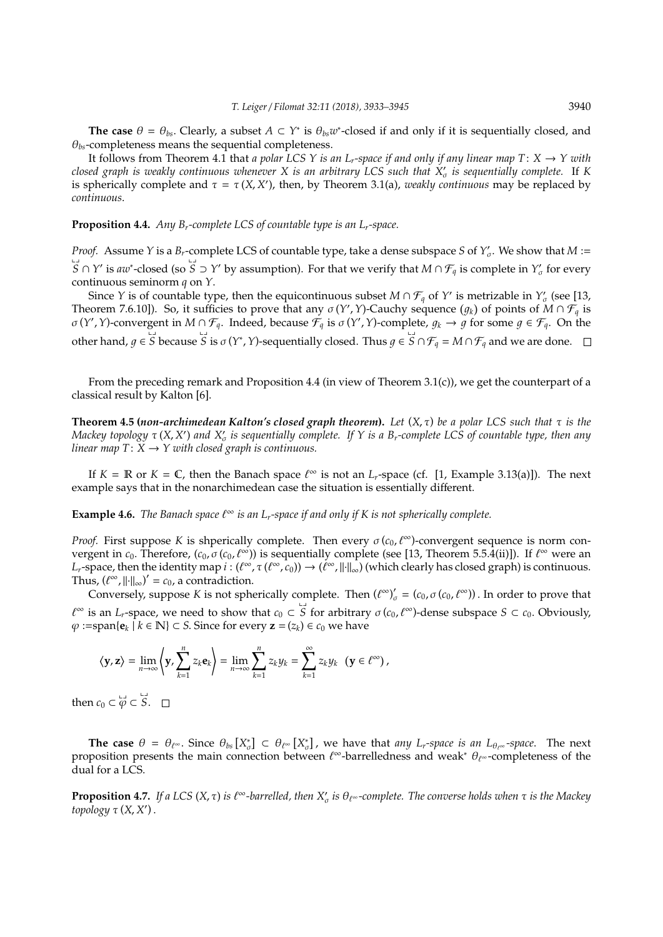The case  $\theta = \theta_{bs}$ . Clearly, a subset  $A \subset Y^*$  is  $\theta_{bs}w^*$ -closed if and only if it is sequentially closed, and θ*bs*-completeness means the sequential completeness.

It follows from Theorem 4.1 that *a polar LCS Y is an L<sub>r</sub>-space if and only if any linear map T:*  $X \to Y$  *with closed graph is weakly continuous whenever X is an arbitrary LCS such that X*<sup>0</sup> σ *is sequentially complete.* If *K* is spherically complete and  $\tau = \tau(X, X')$ , then, by Theorem 3.1(a), *weakly continuous* may be replaced by *continuous*.

**Proposition 4.4.** *Any Br-complete LCS of countable type is an Lr-space.*

*Proof.* Assume *Y* is a *B<sub>r</sub>*-complete LCS of countable type, take a dense subspace *S* of  $Y'_\sigma$ . We show that  $M$  :=  $\overrightarrow{S} \cap Y'$  is  $aw^*$ -closed (so  $\overline{S}$  ⊃ *Y'* by assumption). For that we verify that *M* ∩  $\mathcal{F}_q$  is complete in *Y<sub>o</sub>* for every continuous seminorm *q* on *Y*.

Since *Y* is of countable type, then the equicontinuous subset  $M \cap \mathcal{F}_q$  of *Y'* is metrizable in  $Y'_\sigma$  (see [13, Theorem 7.6.10]). So, it sufficies to prove that any  $\sigma(Y', Y)$ -Cauchy sequence  $(g_k)$  of points of  $M \cap \overline{\mathcal{F}}_q$  is  $\sigma(Y', Y)$ -convergent in  $M \cap \mathcal{F}_q$ . Indeed, because  $\tilde{\mathcal{F}}_q$  is  $\sigma(Y', Y)$ -complete,  $g_k \to g$  for some  $g \in \mathcal{F}_q$ . On the other hand,  $g \in \overline{S}$  because  $\overline{S}$  is  $\sigma(Y^*, Y)$ -sequentially closed. Thus  $g \in \overline{S} \cap \mathcal{F}_q = M \cap \mathcal{F}_q$  and we are done.

From the preceding remark and Proposition 4.4 (in view of Theorem 3.1(c)), we get the counterpart of a classical result by Kalton [6].

**Theorem 4.5 (***non-archimedean Kalton's closed graph theorem***).** *Let* (*X*, τ) *be a polar LCS such that* τ *is the Mackey topology* τ(*X, X'*) and *X'<sub>σ</sub>* is sequentially complete. If *Y* is a B<sub>r</sub>-complete LCS of countable type, then any *linear map*  $T: X \rightarrow Y$  *with closed graph is continuous.* 

If  $K = \mathbb{R}$  or  $K = \mathbb{C}$ , then the Banach space  $\ell^{\infty}$  is not an *L<sub>r</sub>*-space (cf. [1, Example 3.13(a)]). The next example says that in the nonarchimedean case the situation is essentially different.

**Example 4.6.** *The Banach space*  $\ell^{\infty}$  *is an L<sub>r</sub>-space if and only if K is not spherically complete.* 

*Proof.* First suppose *K* is shperically complete. Then every  $\sigma$  ( $c_0$ ,  $\ell^{\infty}$ )-convergent sequence is norm convergent in  $c_0$ . Therefore,  $(c_0, \sigma(c_0, \ell^{\infty}))$  is sequentially complete (see [13, Theorem 5.5.4(ii)]). If  $\ell^{\infty}$  were an *L*<sub>*r*</sub>-space, then the identity map  $i:(\ell^{\infty},\tau(\ell^{\infty},c_0))\to(\ell^{\infty},\|\cdot\|_{\infty})$  (which clearly has closed graph) is continuous. Thus,  $(\ell^{\infty}, \|\cdot\|_{\infty})' = c_0$ , a contradiction.

Conversely, suppose *K* is not spherically complete. Then  $({{\ell}^{\infty}})'_{\sigma} = (c_0, \sigma(c_0, {\ell}^{\infty}))$ . In order to prove that  $\ell^{\infty}$  is an *L*<sub>*r*</sub>-space, we need to show that  $c_0 \subset \overline{S}$  for arbitrary  $\sigma(c_0, \ell^{\infty})$ -dense subspace  $S \subset c_0$ . Obviously,  $\varphi$  :=span{**e**<sub>*k*</sub>  $\hat{i}$  *k* ∈ **N**} ⊂ *S*. Since for every **z** = (*z*<sub>*k*</sub>) ∈ *c*<sub>0</sub> we have

$$
\left\langle \mathbf{y},\mathbf{z}\right\rangle =\lim_{n\rightarrow\infty}\left\langle \mathbf{y},\sum_{k=1}^{n}z_{k}\mathbf{e}_{k}\right\rangle =\lim_{n\rightarrow\infty}\sum_{k=1}^{n}z_{k}y_{k}=\sum_{k=1}^{\infty}z_{k}y_{k}\ \ (\mathbf{y}\in\ell^{\infty})\,,
$$

then *c*<sub>0</sub>  $\subset \varphi \subset S$ *S*.

**The case**  $\theta = \theta_{\ell^{\infty}}$ . Since  $\theta_{bs}[X_{\sigma}^{*}] \subset \theta_{\ell^{\infty}}[X_{\sigma}^{*}]$ , we have that *any L<sub>r</sub>*-space *is an L*<sub> $\theta_{\ell^{\infty}}$ -space. The next</sub> proposition presents the main connection between  $\ell^{\infty}$ -barrelledness and weak\*  $\theta_{\ell^{\infty}}$ -completeness of the dual for a LCS.

**Proposition 4.7.** If a LCS  $(X, \tau)$  is  $\ell^{\infty}$ -barrelled, then  $X'_{\sigma}$  is  $\theta_{\ell^{\infty}}$ -complete. The converse holds when  $\tau$  is the Mackey *topology* τ (*X*, *X* 0 ) .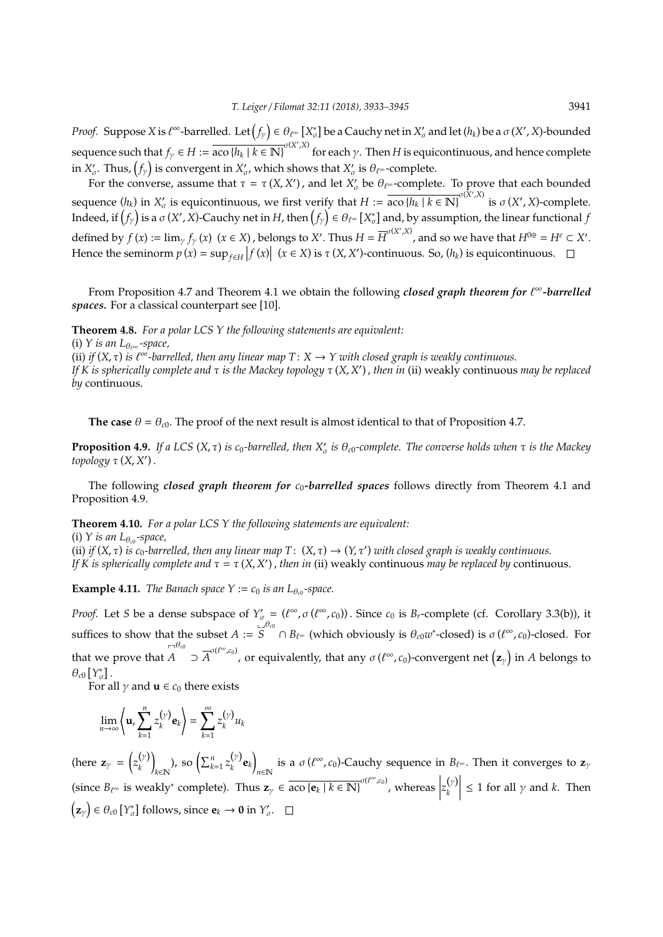*Proof.* Suppose *X* is  $\ell^\infty$ -barrelled. Let  $(f_\gamma) \in \theta_{\ell^\infty}[X_\sigma^*]$  be a Cauchy net in  $X_\sigma'$  and let  $(h_k)$  be a  $\sigma(X',X)$ -bounded sequence such that  $f_\gamma \in H := \overline{\text{aco } \{h_k \mid k \in \mathbb{N}\}}^{\sigma(X',X)}$  for each  $\gamma$ . Then *H* is equicontinuous, and hence complete in  $X'_\sigma.$  Thus,  $\left(f_\gamma\right)$  is convergent in  $X'_\sigma,$  which shows that  $X'_\sigma$  is  $\theta_{\ell^\infty}$ -complete.

For the converse, assume that  $\tau = \tau(X, X')$ , and let  $X'_{\sigma}$  be  $\theta_{\ell^{\infty}}$ -complete. To prove that each bounded sequence  $(h_k)$  in  $X'_\sigma$  is equicontinuous, we first verify that  $H := \overline{\text{aco } \{h_k \mid k \in \mathbb{N}\}}^{\sigma(X',X)}$  is  $\sigma(X',X)$ -complete. Indeed, if  $f_y$  is a  $\sigma$  (*X'* , *X*)-Cauchy net in *H*, then  $f_y$   $\in$   $\theta$   $_{\ell^\infty}$  [*X*<sub> $\sigma$ </sub>] and, by assumption, the linear functional  $f$ defined by  $f(x) := \lim_{y \to y} f_y(x)$  ( $x \in X$ ), belongs to X'. Thus  $H = \overline{H}^{\sigma(X^*,X)}$ , and so we have that  $H^{0 \oplus} = H^e \subset X'$ . Hence the seminorm  $p(x) = \sup_{f \in H} |f(x)|$   $(x \in X)$  is  $\tau(X, X')$ -continuous. So,  $(h_k)$  is equicontinuous.

From Proposition 4.7 and Theorem 4.1 we obtain the following *closed graph theorem for t<sup>∞</sup>-barrelled spaces.* For a classical counterpart see [10].

**Theorem 4.8.** *For a polar LCS Y the following statements are equivalent:*

(i) *Y* is an  $L_{\theta_{\text{row}}}$  -space, (ii) *if*  $(X, \tau)$  *is*  $\ell^{\infty}$ -barrelled, then any linear map  $T: X \to Y$  with closed graph is weakly continuous. *If K is spherically complete and* τ *is the Mackey topology* τ (*X*, *X* 0 ) , *then in* (ii) weakly continuous *may be replaced by* continuous.

**The case**  $\theta = \theta_{c0}$ . The proof of the next result is almost identical to that of Proposition 4.7.

**Proposition 4.9.** If a LCS  $(X, \tau)$  is  $c_0$ -barrelled, then  $X'_\sigma$  is  $\theta_{c0}$ -complete. The converse holds when  $\tau$  is the Mackey *topology* τ (*X*, *X* 0 ) .

The following *closed graph theorem for*  $c_0$ -barrelled spaces follows directly from Theorem 4.1 and Proposition 4.9.

**Theorem 4.10.** *For a polar LCS Y the following statements are equivalent:*

(i) *Y* is an  $L_{\theta_{c0}}$ -space, (ii) *if*  $(X, \tau)$  *is*  $c_0$ -barrelled, then any linear map T:  $(X, \tau) \to (Y, \tau')$  with closed graph is weakly continuous. *If K is spherically complete and*  $\tau = \tau(X, X')$ , *then in* (ii) weakly continuous *may be replaced by* continuous.

**Example 4.11.** *The Banach space*  $Y := c_0$  *is an L*<sub> $\theta_{c0}$ -space.</sub>

*Proof.* Let *S* be a dense subspace of  $Y'_\sigma = (\ell^\infty, \sigma(\ell^\infty, c_0))$ . Since  $c_0$  is  $B_r$ -complete (cf. Corollary 3.3(b)), it suffices to show that the subset *A* := .<br>د با *S* θ*c*<sup>0</sup> ∩ *B*`<sup>∞</sup> (which obviously is θ*c*0*w* ∗ -closed) is σ (` <sup>∞</sup>, *c*0)-closed. For that we prove that pq *A* θ<sub>c0</sub> ⊃  $\overline{A}^{\sigma(\ell^{\infty}, c_0)}$ , or equivalently, that any  $\sigma(\ell^{\infty}, c_0)$ -convergent net  $(z_\gamma)$  in *A* belongs to  $\theta_{c0} \left[ Y_{\sigma}^* \right]$ .

For all  $\gamma$  and **u**  $\in$   $c_0$  there exists

$$
\lim_{n\to\infty}\left\langle\mathbf{u},\sum_{k=1}^nz_k^{(\gamma)}\mathbf{e}_k\right\rangle=\sum_{k=1}^\infty z_k^{(\gamma)}u_k
$$

(here  $\mathbf{z}_{\gamma} = \begin{pmatrix} z_{k}^{(\gamma)} \end{pmatrix}$ *k* Ι  $\sum_{k \in \mathbb{N}}$ ), so  $\left( \sum_{k=1}^n z_k^{(\gamma)} \right)$  $\binom{(\gamma)}{k}$ **e**<sub>k</sub> is a  $\sigma(\ell^{\infty}, c_0)$ -Cauchy sequence in  $B_{\ell^{\infty}}$ . Then it converges to **z**<sub>γ</sub> (since  $B_{\ell^{\infty}}$  is weakly<sup>∗</sup> complete). Thus  $\mathbf{z}_{\gamma} \in \overline{\text{aco } \{\mathbf{e}_k \mid k \in \mathbb{N}\}}^{\sigma(\ell^{\infty}, c_0)}$ , whereas  $\begin{array}{c} \hline \end{array}$  $z_k^{(\gamma)}$ *k*  $\begin{array}{c} \hline \end{array}$  $\leq 1$  for all  $\gamma$  and *k*. Then  $\left(\mathbf{z}_{\gamma}\right) \in \theta_{c0}$  [Y<sup>\*</sup><sub>*c*</sub>] follows, since  $\mathbf{e}_{k} \to \mathbf{0}$  in  $Y'_{\sigma}$ .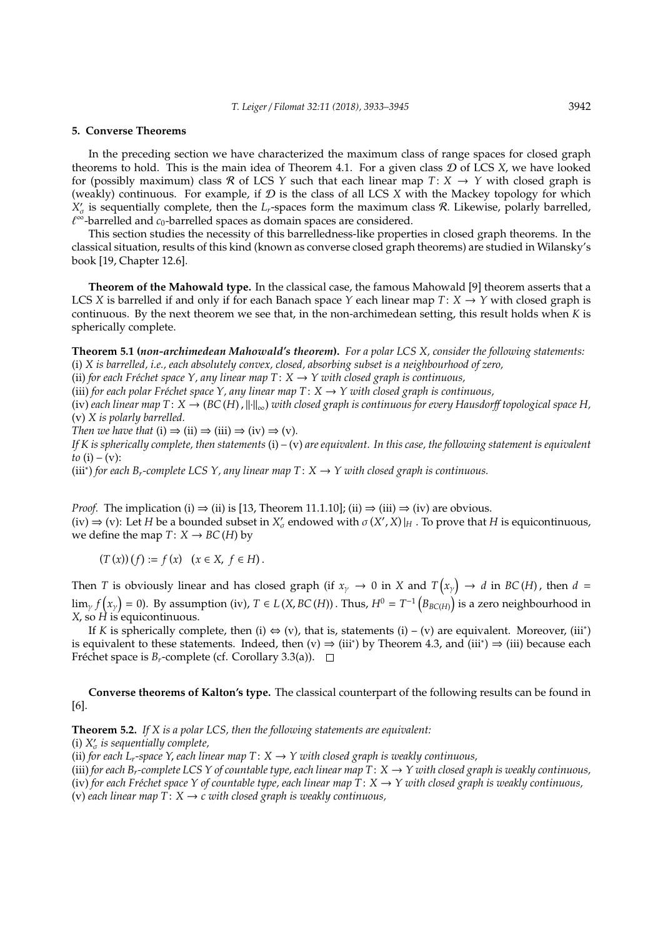#### **5. Converse Theorems**

In the preceding section we have characterized the maximum class of range spaces for closed graph theorems to hold. This is the main idea of Theorem 4.1. For a given class D of LCS *X*, we have looked for (possibly maximum) class R of LCS *Y* such that each linear map  $T: X \rightarrow Y$  with closed graph is (weakly) continuous. For example, if  $D$  is the class of all LCS  $X$  with the Mackey topology for which  $X'_{\sigma}$  is sequentially complete, then the *L<sub>r</sub>*-spaces form the maximum class R. Likewise, polarly barrelled,  $\ell^{\breve{\infty}}$ -barrelled and  $c_0$ -barrelled spaces as domain spaces are considered.

This section studies the necessity of this barrelledness-like properties in closed graph theorems. In the classical situation, results of this kind (known as converse closed graph theorems) are studied in Wilansky's book [19, Chapter 12.6].

**Theorem of the Mahowald type.** In the classical case, the famous Mahowald [9] theorem asserts that a LCS *X* is barrelled if and only if for each Banach space *Y* each linear map *T*: *X*  $\rightarrow$  *Y* with closed graph is continuous. By the next theorem we see that, in the non-archimedean setting, this result holds when *K* is spherically complete.

**Theorem 5.1 (***non-archimedean Mahowald's theorem***).** *For a polar LCS X, consider the following statements:* (i) *X is barrelled, i.e., each absolutely convex, closed, absorbing subset is a neighbourhood of zero,*

(ii) *for each Fréchet space Y, any linear map*  $T: X \rightarrow Y$  *with closed graph is continuous,* 

(iii) *for each polar Fréchet space Y, any linear map*  $T: X \rightarrow Y$  with closed graph is continuous,

(iv) each linear map  $T: X \to (BC(H), ||\cdot||_{\infty})$  with closed graph is continuous for every Hausdorff *topological space H*, (v) *X is polarly barrelled.*

*Then we have that* (i)  $\Rightarrow$  (ii)  $\Rightarrow$  (iii)  $\Rightarrow$  (iv)  $\Rightarrow$  (v).

*If K is spherically complete, then statements* (i) *–* (v) *are equivalent. In this case, the following statement is equivalent to* (i) – (v):

(iii<sup>∗</sup> ) *for each Br-complete LCS Y, any linear map T*: *X* → *Y with closed graph is continuous.*

*Proof.* The implication (i)  $\Rightarrow$  (ii) is [13, Theorem 11.1.10]; (ii)  $\Rightarrow$  (iii)  $\Rightarrow$  (iv) are obvious.  $(iv) \Rightarrow (v)$ : Let *H* be a bounded subset in  $X'_{\sigma}$  endowed with  $\sigma(X', X)|_H$ . To prove that *H* is equicontinuous, we define the map  $T: X \to BC(H)$  by

 $(T(x))(f) := f(x) \quad (x \in X, f \in H).$ 

Then *T* is obviously linear and has closed graph (if  $x_\gamma \to 0$  in *X* and  $T(x_\gamma) \to d$  in *BC*(*H*), then  $d =$  $\lim_{\gamma} f(x_{\gamma}) = 0$ ). By assumption (iv),  $T \in L(X, BC(H))$  . Thus,  $H^0 = T^{-1} \big( B_{BC(H)} \big)$  is a zero neighbourhood in *X*, so *H* is equicontinuous.

If *K* is spherically complete, then (i)  $\Leftrightarrow$  (v), that is, statements (i) – (v) are equivalent. Moreover, (iii<sup>\*</sup>) is equivalent to these statements. Indeed, then  $(v) \Rightarrow (iii^*)$  by Theorem 4.3, and  $(iii^*) \Rightarrow (iii)$  because each Fréchet space is  $B_r$ -complete (cf. Corollary 3.3(a)).  $\Box$ 

**Converse theorems of Kalton's type.** The classical counterpart of the following results can be found in [6].

**Theorem 5.2.** *If X is a polar LCS, then the following statements are equivalent:*

(i)  $X'_{\sigma}$  is sequentially complete,

(ii) *for each L<sub>r</sub>-space Y, each linear map*  $T: X \rightarrow Y$  *with closed graph is weakly continuous,* 

(iii) *for each B<sub>r</sub>*-complete LCS Y of countable type, each linear map  $T: X \to Y$  with closed graph is weakly continuous, (iv) for each Fréchet space Y of countable type, each linear map  $T: X \to Y$  with closed graph is weakly continuous,

(v) each linear map  $T: X \rightarrow c$  with closed graph is weakly continuous,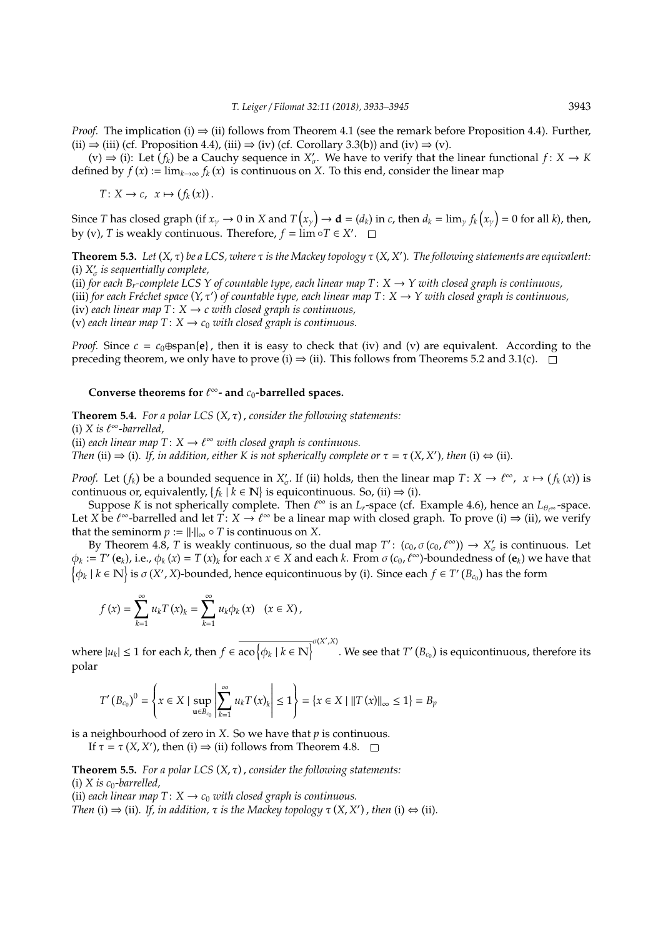*Proof.* The implication (i)  $\Rightarrow$  (ii) follows from Theorem 4.1 (see the remark before Proposition 4.4). Further, (ii)  $\Rightarrow$  (iii) (cf. Proposition 4.4), (iii)  $\Rightarrow$  (iv) (cf. Corollary 3.3(b)) and (iv)  $\Rightarrow$  (v).

 $f(x) \Rightarrow f(x)$ : Let  $f(x)$  be a Cauchy sequence in  $X'_\sigma$ . We have to verify that the linear functional  $f: X \to K$ defined by  $f(x) := \lim_{k \to \infty} f_k(x)$  is continuous on X. To this end, consider the linear map

 $T: X \to c, \ x \mapsto (f_k(x)).$ 

Since *T* has closed graph (if  $x_\gamma \to 0$  in *X* and  $T(x_\gamma) \to \mathbf{d} = (d_k)$  in *c*, then  $d_k = \lim_{\gamma} f_k(x_\gamma) = 0$  for all *k*), then, by (v), *T* is weakly continuous. Therefore,  $f = \lim_{n \to \infty} \circ T \in X'$ .

**Theorem 5.3.** *Let* (*X*, τ) *be a LCS, where* τ *is the Mackey topology* τ (*X*, *X* 0 )*. The following statements are equivalent:* (i)  $X'_{\sigma}$  is sequentially complete, (ii) *for each B<sub>r</sub>*-complete LCS Y of countable type, each linear map  $T: X \to Y$  with closed graph is continuous, (iii) for each Fréchet space  $(Y, \tau')$  of countable type, each linear map  $T: X \to Y$  with closed graph is continuous, (iv) *each linear map*  $T: X \rightarrow c$  *with closed graph is continuous*,

(v) each linear map  $T: X \rightarrow c_0$  with closed graph is continuous.

*Proof.* Since  $c = c_0 \oplus \text{span}\{e\}$ , then it is easy to check that (iv) and (v) are equivalent. According to the preceding theorem, we only have to prove (i)  $\Rightarrow$  (ii). This follows from Theorems 5.2 and 3.1(c).  $\Box$ 

### Converse theorems for  $\ell^{\infty}$ - and  $c_0$ -barrelled spaces.

**Theorem 5.4.** *For a polar LCS* (*X*, τ) , *consider the following statements:* (i)  $X$  is  $\ell^{\infty}$ -barrelled, (ii) each linear map  $T: X \to \ell^{\infty}$  with closed graph is continuous. *Then* (ii)  $\Rightarrow$  (i). If, in addition, either K is not spherically complete or  $\tau = \tau(X, X')$ , then (i)  $\Leftrightarrow$  (ii).

*Proof.* Let  $(f_k)$  be a bounded sequence in  $X'_\sigma$ . If (ii) holds, then the linear map  $T: X \to \ell^\infty$ ,  $x \mapsto (f_k(x))$  is continuous or, equivalently,  $\{f_k \mid k \in \mathbb{N}\}$  is equicontinuous. So, (ii)  $\Rightarrow$  (i).

Suppose *K* is not spherically complete. Then  $\ell^{\infty}$  is an *L*<sub>*r*</sub>-space (cf. Example 4.6), hence an *L*<sub>θ'</sub>∞ -space. Let *X* be  $\ell^{\infty}$ -barrelled and let  $T: X \to \ell^{\infty}$  be a linear map with closed graph. To prove (i)  $\Rightarrow$  (ii), we verify that the seminorm  $p := ||\cdot||_{\infty} \circ T$  is continuous on *X*.

By Theorem 4.8, *T* is weakly continuous, so the dual map  $T'$ :  $(c_0, \sigma(c_0, \ell^{\infty})) \to X'_{\sigma}$  is continuous. Let  $\phi_k := T'(\mathbf{e}_k)$ , i.e.,  $\phi_k(x) = T(x)_k$  for each  $x \in X$  and each  $k$ . From  $\sigma(c_0, \ell^{\infty})$ -boundedness of  $(\mathbf{e}_k)$  we have that  $\big\{\phi_k\mid k\in\mathbb N\big\}$  is  $\sigma(X',X)$ -bounded, hence equicontinuous by (i). Since each  $f\in T'$   $(B_{c_0})$  has the form

$$
f(x) = \sum_{k=1}^{\infty} u_k T(x)_k = \sum_{k=1}^{\infty} u_k \phi_k(x) \quad (x \in X),
$$

where  $|u_k| \leq 1$  for each *k*, then  $f \in \overline{\text{aco}\left\{\phi_k \mid k \in \mathbb{N}\right\}}^{\sigma(X',X)}$ . We see that  $T'(B_{c_0})$  is equicontinuous, therefore its polar

$$
T'(B_{c_0})^0 = \left\{ x \in X \mid \sup_{\mathbf{u} \in B_{c_0}} \left| \sum_{k=1}^{\infty} u_k T(x)_k \right| \le 1 \right\} = \left\{ x \in X \mid ||T(x)||_{\infty} \le 1 \right\} = B_p
$$

is a neighbourhood of zero in *X*. So we have that *p* is continuous.

If  $\tau = \tau(X, X')$ , then (i)  $\Rightarrow$  (ii) follows from Theorem 4.8.

**Theorem 5.5.** *For a polar LCS* (*X*, τ) , *consider the following statements:*  $(i)$  *X is c*<sub>0</sub>-barrelled,

(ii) *each linear map*  $T: X \rightarrow c_0$  *with closed graph is continuous.* 

*Then* (i)  $\Rightarrow$  (ii). If, in addition,  $\tau$  is the Mackey topology  $\tau$  (*X*, *X*'), then (i)  $\Leftrightarrow$  (ii).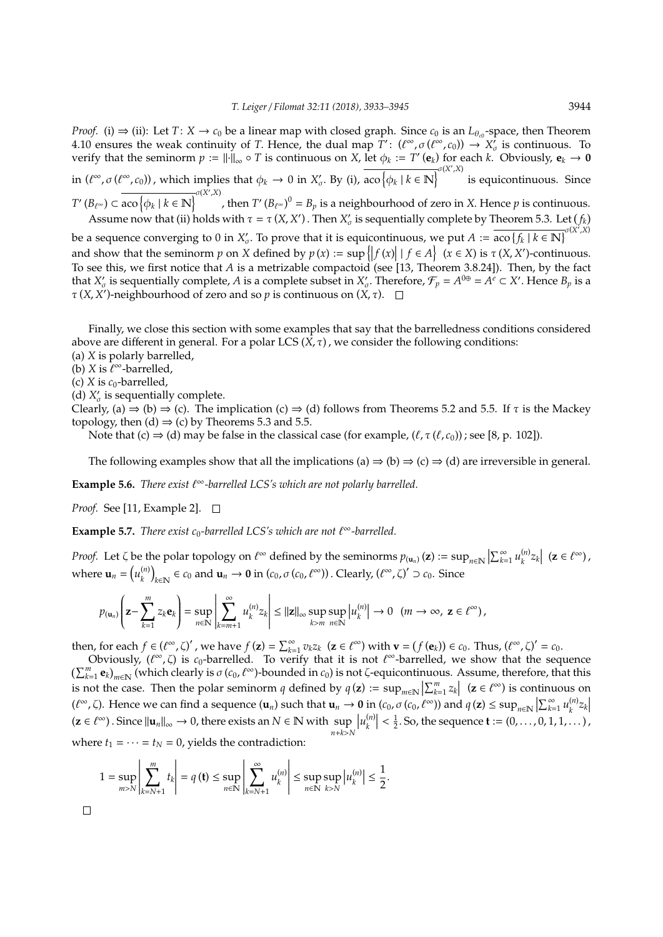*Proof.* (i)  $\Rightarrow$  (ii): Let *T*: *X*  $\rightarrow$  *c*<sub>0</sub> be a linear map with closed graph. Since *c*<sub>0</sub> is an *L*<sub> $\theta_{c0}$ -space, then Theorem</sub> 4.10 ensures the weak continuity of *T*. Hence, the dual map  $\overline{T}'$ :  $(\ell^{\infty}, \sigma(\ell^{\infty}, c_0)) \to X'_{\sigma}$  is continuous. To **F**. The seminorm  $p := ||·||_{\infty} \circ T$  is continuous on *X*, let  $\phi_k := T'(\mathbf{e}_k)$  for each *k*. Obviously,  $\mathbf{e}_k \to 0$  verify that the seminorm  $p := ||·||_{\infty} \circ T$  is continuous on *X*, let  $\phi_k := T'(\mathbf{e}_k)$  for each *k*. Obviou in  $(\ell^{\infty}, \sigma(\ell^{\infty}, c_0))$ , which implies that  $\phi_k \to 0$  in  $X'_{\sigma}$ . By (i),  $\overline{\text{aco}\left\{\phi_k \mid k \in \mathbb{N}\right\}}^{\sigma(X',X)}$ is equicontinuous. Since  $T'(B_{\ell^{\infty}}) \subset \overline{\text{aco } \{\phi_k \mid k \in \mathbb{N}\}}^{\sigma(X',X)}$ , then  $T'(B_{\ell^{\infty}})^0 = B_p$  is a neighbourhood of zero in *X*. Hence  $p$  is continuous. Assume now that (ii) holds with  $\tau = \tau(X, X')$ . Then  $X'_{\sigma}$  is sequentially complete by Theorem 5.3. Let  $(f_k)$ 

be a sequence converging to 0 in  $X'_\sigma$ . To prove that it is equicontinuous, we put  $A := \overline{\text{aco } \{f_k \mid k \in \mathbb{N}\}}^{\sigma(X',X)}$ and show that the seminorm *p* on *X* defined by  $p(x) := \sup \{|f(x)| | f \in A\}$   $(x \in X)$  is  $\tau(X, X')$ -continuous. To see this, we first notice that *A* is a metrizable compactoid (see [13, Theorem 3.8.24]). Then, by the fact that  $X'_{\sigma}$  is sequentially complete, *A* is a complete subset in  $X'_{\sigma}$ . Therefore,  $\mathcal{F}_p = A^{0\oplus} = A^e \subset X'$ . Hence  $B_p$  is a  $\tau$  (*X*, *X*<sup>'</sup>)-neighbourhood of zero and so *p* is continuous on (*X*,  $\tau$ ).

Finally, we close this section with some examples that say that the barrelledness conditions considered above are different in general. For a polar LCS  $(X, \tau)$ , we consider the following conditions:

- (a) *X* is polarly barrelled,
- (b) *X* is  $\ell^{\infty}$ -barrelled,
- (c)  $X$  is  $c_0$ -barrelled,
- (d)  $X'_{\sigma}$  is sequentially complete.

Clearly, (a)  $\Rightarrow$  (b)  $\Rightarrow$  (c). The implication (c)  $\Rightarrow$  (d) follows from Theorems 5.2 and 5.5. If  $\tau$  is the Mackey topology, then (d)  $\Rightarrow$  (c) by Theorems 5.3 and 5.5.

Note that (c)  $\Rightarrow$  (d) may be false in the classical case (for example,  $(\ell, \tau(\ell, c_0))$ ; see [8, p. 102]).

The following examples show that all the implications (a)  $\Rightarrow$  (b)  $\Rightarrow$  (c)  $\Rightarrow$  (d) are irreversible in general.

**Example 5.6.** *There exist*  $\ell^{\infty}$ -barrelled LCS's which are not polarly barrelled.

*Proof.* See [11, Example 2]. □

**Example 5.7.** *There exist c*<sub>0</sub>-barrelled LCS's which are not  $\ell^{\infty}$ -barrelled.

*Proof.* Let  $\zeta$  be the polar topology on  $\ell^{\infty}$  defined by the seminorms  $p_{(\mathbf{u}_n)}(\mathbf{z}) := \sup_{n \in \mathbb{N}} |\sum_{k=1}^{\infty} u_k^{(n)}|$  $\left|\sum_{k=1}^{(n)}z_{k}\right|$  (**z** ∈  $\ell^{\infty}$ ), where  $\mathbf{u}_n = (u_k^{(n)})$ *k*  $k \in \mathbb{N}$  ∈ *c*<sub>0</sub> and **u**<sub>*n*</sub> → **0** in (*c*<sub>0</sub>, *σ* (*c*<sub>0</sub>, *t*<sup>∞</sup>)). Clearly, ( $\ell^{\infty}$ ,  $\zeta$ )' ⊃ *c*<sub>0</sub>. Since

$$
p_{(\mathbf{u}_n)}\left(\mathbf{z}-\sum_{k=1}^m z_k\mathbf{e}_k\right)=\sup_{n\in\mathbb{N}}\left|\sum_{k=m+1}^\infty u_k^{(n)}z_k\right|\leq ||\mathbf{z}||_\infty\sup_{k>m}\sup_{n\in\mathbb{N}}\left|u_k^{(n)}\right|\to 0\ \ (m\to\infty,\ \mathbf{z}\in\ell^\infty)\,,
$$

then, for each  $f \in (\ell^{\infty}, \zeta)'$ , we have  $f(z) = \sum_{k=1}^{\infty} v_k z_k$   $(z \in \ell^{\infty})$  with  $\mathbf{v} = (f(\mathbf{e}_k)) \in c_0$ . Thus,  $(\ell^{\infty}, \zeta)' = c_0$ .

Obviously,  $(\ell^{\infty}, \zeta)$  is  $c_0$ -barrelled. To verify that it is not  $\ell^{\infty}$ -barrelled, we show that the sequence  $\left(\sum_{k=1}^m \mathbf{e}_k\right)_{m\in\mathbb{N}}$  (which clearly is  $\sigma(c_0,\ell^{\infty})$ -bounded in  $c_0$ ) is not  $\zeta$ -equicontinuous. Assume, therefore, that this is not the case. Then the polar seminorm *q* defined by  $q(\mathbf{z}) := \sup_{m \in \mathbb{N}} |\sum_{k=1}^{m} z_k|$  ( $\mathbf{z} \in \ell^{\infty}$ ) is continuous on  $\overline{a}$  $(\ell^{\infty}, \zeta)$ . Hence we can find a sequence  $(\mathbf{u}_n)$  such that  $\mathbf{u}_n \to \mathbf{0}$  in  $(c_0, \sigma(c_0, \ell^{\infty}))$  and  $q(\mathbf{z}) \le \sup_{n \in \mathbb{N}} |\sum_{k=1}^{\infty} u_k^{(n)}|$  $\binom{n}{k}$  $z_k$  $(\mathbf{z} \in \ell^{\infty})$ . Since  $\|\mathbf{u}_n\|_{\infty} \to 0$ , there exists an  $N \in \mathbb{N}$  with  $\sup_{n+k \geq N} |u_k^{(n)}|$ *n*+*k*>*N*  $\left| \binom{n}{k} \right| < \frac{1}{2}$ . So, the sequence **t** :=  $(0, \ldots, 0, 1, 1, \ldots)$ , where  $t_1 = \cdots = t_N = 0$ , yields the contradiction:

$$
1 = \sup_{m > N} \left| \sum_{k=N+1}^{m} t_k \right| = q(\mathbf{t}) \le \sup_{n \in \mathbb{N}} \left| \sum_{k=N+1}^{\infty} u_k^{(n)} \right| \le \sup_{n \in \mathbb{N}} \sup_{k > N} |u_k^{(n)}| \le \frac{1}{2}.
$$